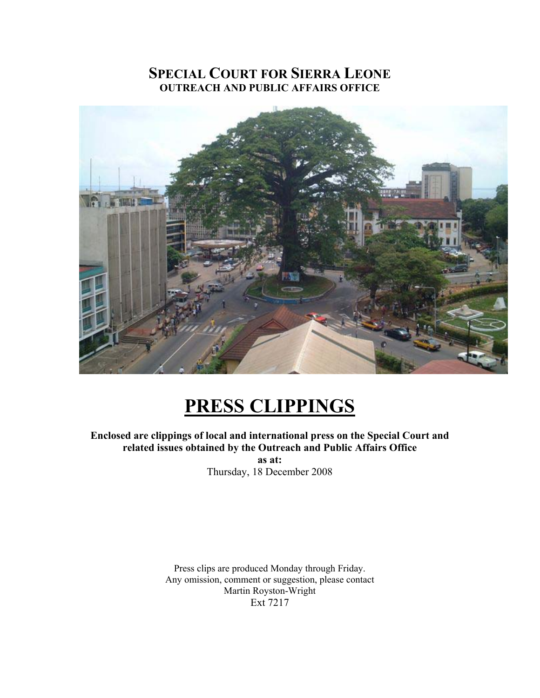# **SPECIAL COURT FOR SIERRA LEONE OUTREACH AND PUBLIC AFFAIRS OFFICE**



# **PRESS CLIPPINGS**

**Enclosed are clippings of local and international press on the Special Court and related issues obtained by the Outreach and Public Affairs Office** 

**as at:**  Thursday, 18 December 2008

Press clips are produced Monday through Friday. Any omission, comment or suggestion, please contact Martin Royston-Wright Ext 7217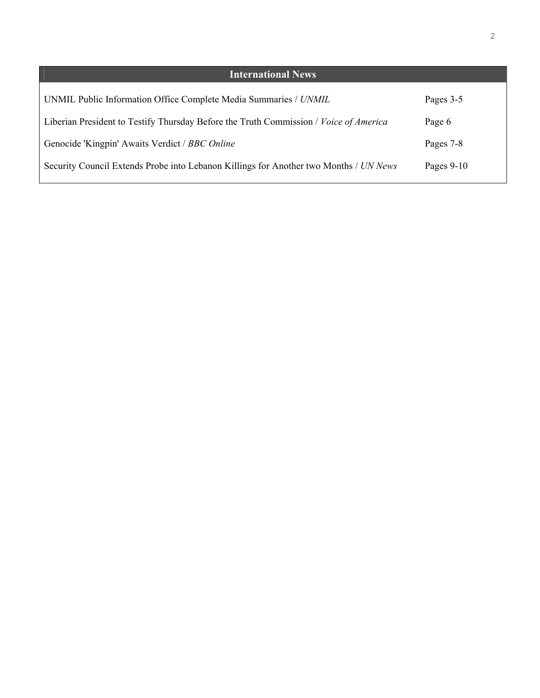| <b>International News</b>                                                             |              |
|---------------------------------------------------------------------------------------|--------------|
| UNMIL Public Information Office Complete Media Summaries / UNMIL                      | Pages 3-5    |
| Liberian President to Testify Thursday Before the Truth Commission / Voice of America | Page 6       |
| Genocide 'Kingpin' Awaits Verdict / BBC Online                                        | Pages 7-8    |
| Security Council Extends Probe into Lebanon Killings for Another two Months / UN News | Pages $9-10$ |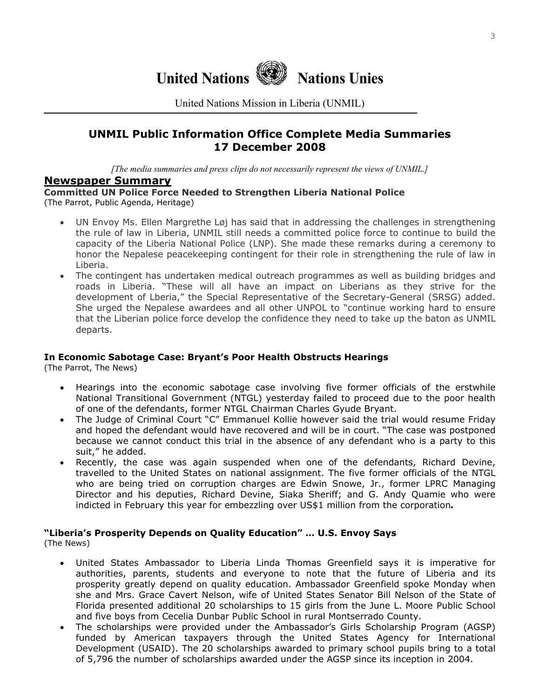

United Nations Mission in Liberia (UNMIL)

# **UNMIL Public Information Office Complete Media Summaries 17 December 2008**

*[The media summaries and press clips do not necessarily represent the views of UNMIL.]*

## **Newspaper Summary**

**Committed UN Police Force Needed to Strengthen Liberia National Police**  (The Parrot, Public Agenda, Heritage)

- UN Envoy Ms. Ellen Margrethe Løj has said that in addressing the challenges in strengthening the rule of law in Liberia, UNMIL still needs a committed police force to continue to build the capacity of the Liberia National Police (LNP). She made these remarks during a ceremony to honor the Nepalese peacekeeping contingent for their role in strengthening the rule of law in Liberia.
- The contingent has undertaken medical outreach programmes as well as building bridges and roads in Liberia. "These will all have an impact on Liberians as they strive for the development of Lberia," the Special Representative of the Secretary-General (SRSG) added. She urged the Nepalese awardees and all other UNPOL to "continue working hard to ensure that the Liberian police force develop the confidence they need to take up the baton as UNMIL departs.

#### **In Economic Sabotage Case: Bryant's Poor Health Obstructs Hearings**

(The Parrot, The News)

- Hearings into the economic sabotage case involving five former officials of the erstwhile National Transitional Government (NTGL) yesterday failed to proceed due to the poor health of one of the defendants, former NTGL Chairman Charles Gyude Bryant.
- The Judge of Criminal Court "C" Emmanuel Kollie however said the trial would resume Friday and hoped the defendant would have recovered and will be in court. "The case was postponed because we cannot conduct this trial in the absence of any defendant who is a party to this suit," he added.
- Recently, the case was again suspended when one of the defendants, Richard Devine, travelled to the United States on national assignment. The five former officials of the NTGL who are being tried on corruption charges are Edwin Snowe, Jr., former LPRC Managing Director and his deputies, Richard Devine, Siaka Sheriff; and G. Andy Quamie who were indicted in February this year for embezzling over US\$1 million from the corporation*.*

## **"Liberia's Prosperity Depends on Quality Education" … U.S. Envoy Says**

(The News)

- United States Ambassador to Liberia Linda Thomas Greenfield says it is imperative for authorities, parents, students and everyone to note that the future of Liberia and its prosperity greatly depend on quality education. Ambassador Greenfield spoke Monday when she and Mrs. Grace Cavert Nelson, wife of United States Senator Bill Nelson of the State of Florida presented additional 20 scholarships to 15 girls from the June L. Moore Public School and five boys from Cecelia Dunbar Public School in rural Montserrado County.
- The scholarships were provided under the Ambassador's Girls Scholarship Program (AGSP) funded by American taxpayers through the United States Agency for International Development (USAID). The 20 scholarships awarded to primary school pupils bring to a total of 5,796 the number of scholarships awarded under the AGSP since its inception in 2004.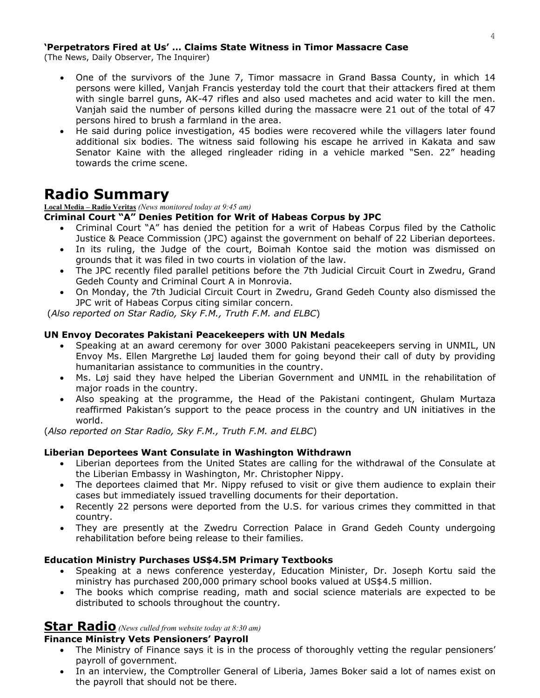#### **'Perpetrators Fired at Us' … Claims State Witness in Timor Massacre Case**

(The News, Daily Observer, The Inquirer)

- One of the survivors of the June 7, Timor massacre in Grand Bassa County, in which 14 persons were killed, Vanjah Francis yesterday told the court that their attackers fired at them with single barrel guns, AK-47 rifles and also used machetes and acid water to kill the men. Vanjah said the number of persons killed during the massacre were 21 out of the total of 47 persons hired to brush a farmland in the area.
- He said during police investigation, 45 bodies were recovered while the villagers later found additional six bodies. The witness said following his escape he arrived in Kakata and saw Senator Kaine with the alleged ringleader riding in a vehicle marked "Sen. 22" heading towards the crime scene.

# **Radio Summary**

**Local Media – Radio Veritas** *(News monitored today at 9:45 am)*

#### **Criminal Court "A" Denies Petition for Writ of Habeas Corpus by JPC**

- Criminal Court "A" has denied the petition for a writ of Habeas Corpus filed by the Catholic Justice & Peace Commission (JPC) against the government on behalf of 22 Liberian deportees.
- In its ruling, the Judge of the court, Boimah Kontoe said the motion was dismissed on grounds that it was filed in two courts in violation of the law.
- The JPC recently filed parallel petitions before the 7th Judicial Circuit Court in Zwedru, Grand Gedeh County and Criminal Court A in Monrovia.
- On Monday, the 7th Judicial Circuit Court in Zwedru, Grand Gedeh County also dismissed the JPC writ of Habeas Corpus citing similar concern.

(*Also reported on Star Radio, Sky F.M., Truth F.M. and ELBC*)

#### **UN Envoy Decorates Pakistani Peacekeepers with UN Medals**

- Speaking at an award ceremony for over 3000 Pakistani peacekeepers serving in UNMIL, UN Envoy Ms. Ellen Margrethe Løj lauded them for going beyond their call of duty by providing humanitarian assistance to communities in the country.
- Ms. Løj said they have helped the Liberian Government and UNMIL in the rehabilitation of major roads in the country.
- Also speaking at the programme, the Head of the Pakistani contingent, Ghulam Murtaza reaffirmed Pakistan's support to the peace process in the country and UN initiatives in the world.

(*Also reported on Star Radio, Sky F.M., Truth F.M. and ELBC*)

#### **Liberian Deportees Want Consulate in Washington Withdrawn**

- Liberian deportees from the United States are calling for the withdrawal of the Consulate at the Liberian Embassy in Washington, Mr. Christopher Nippy.
- The deportees claimed that Mr. Nippy refused to visit or give them audience to explain their cases but immediately issued travelling documents for their deportation.
- Recently 22 persons were deported from the U.S. for various crimes they committed in that country.
- They are presently at the Zwedru Correction Palace in Grand Gedeh County undergoing rehabilitation before being release to their families.

#### **Education Ministry Purchases US\$4.5M Primary Textbooks**

- Speaking at a news conference yesterday, Education Minister, Dr. Joseph Kortu said the ministry has purchased 200,000 primary school books valued at US\$4.5 million.
- The books which comprise reading, math and social science materials are expected to be distributed to schools throughout the country.

## **Star Radio** *(News culled from website today at 8:30 am)*

## **Finance Ministry Vets Pensioners' Payroll**

- The Ministry of Finance says it is in the process of thoroughly vetting the regular pensioners' payroll of government.
- In an interview, the Comptroller General of Liberia, James Boker said a lot of names exist on the payroll that should not be there.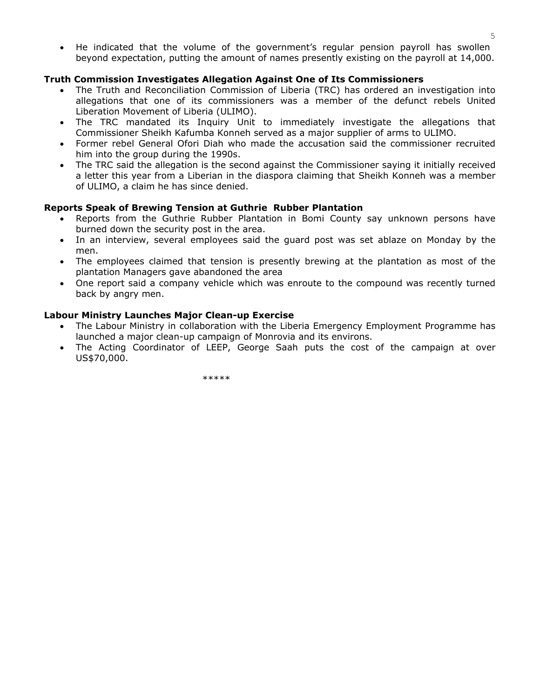• He indicated that the volume of the government's regular pension payroll has swollen beyond expectation, putting the amount of names presently existing on the payroll at 14,000.

#### **Truth Commission Investigates Allegation Against One of Its Commissioners**

- The Truth and Reconciliation Commission of Liberia (TRC) has ordered an investigation into allegations that one of its commissioners was a member of the defunct rebels United Liberation Movement of Liberia (ULIMO).
- The TRC mandated its Inquiry Unit to immediately investigate the allegations that Commissioner Sheikh Kafumba Konneh served as a major supplier of arms to ULIMO.
- Former rebel General Ofori Diah who made the accusation said the commissioner recruited him into the group during the 1990s.
- The TRC said the allegation is the second against the Commissioner saying it initially received a letter this year from a Liberian in the diaspora claiming that Sheikh Konneh was a member of ULIMO, a claim he has since denied.

#### **Reports Speak of Brewing Tension at Guthrie Rubber Plantation**

- Reports from the Guthrie Rubber Plantation in Bomi County say unknown persons have burned down the security post in the area.
- In an interview, several employees said the guard post was set ablaze on Monday by the men.
- The employees claimed that tension is presently brewing at the plantation as most of the plantation Managers gave abandoned the area
- One report said a company vehicle which was enroute to the compound was recently turned back by angry men.

#### **Labour Ministry Launches Major Clean-up Exercise**

- The Labour Ministry in collaboration with the Liberia Emergency Employment Programme has launched a major clean-up campaign of Monrovia and its environs.
- The Acting Coordinator of LEEP, George Saah puts the cost of the campaign at over US\$70,000.

\*\*\*\*\*\*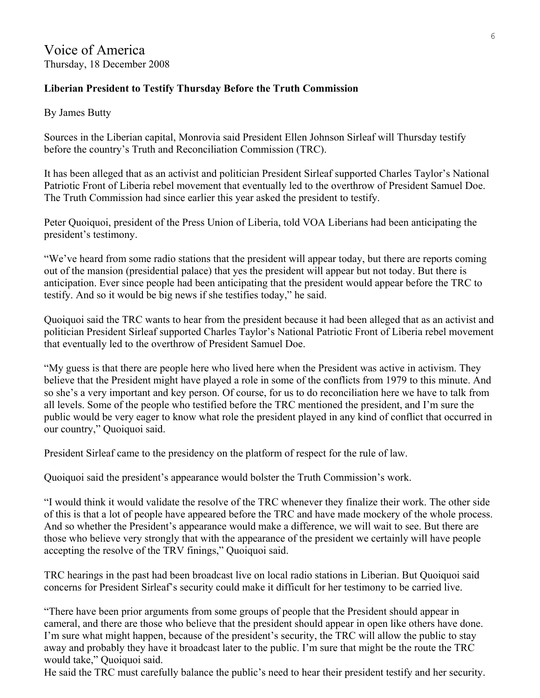# **Liberian President to Testify Thursday Before the Truth Commission**

By James Butty

Sources in the Liberian capital, Monrovia said President Ellen Johnson Sirleaf will Thursday testify before the country's Truth and Reconciliation Commission (TRC).

It has been alleged that as an activist and politician President Sirleaf supported Charles Taylor's National Patriotic Front of Liberia rebel movement that eventually led to the overthrow of President Samuel Doe. The Truth Commission had since earlier this year asked the president to testify.

Peter Quoiquoi, president of the Press Union of Liberia, told VOA Liberians had been anticipating the president's testimony.

"We've heard from some radio stations that the president will appear today, but there are reports coming out of the mansion (presidential palace) that yes the president will appear but not today. But there is anticipation. Ever since people had been anticipating that the president would appear before the TRC to testify. And so it would be big news if she testifies today," he said.

Quoiquoi said the TRC wants to hear from the president because it had been alleged that as an activist and politician President Sirleaf supported Charles Taylor's National Patriotic Front of Liberia rebel movement that eventually led to the overthrow of President Samuel Doe.

"My guess is that there are people here who lived here when the President was active in activism. They believe that the President might have played a role in some of the conflicts from 1979 to this minute. And so she's a very important and key person. Of course, for us to do reconciliation here we have to talk from all levels. Some of the people who testified before the TRC mentioned the president, and I'm sure the public would be very eager to know what role the president played in any kind of conflict that occurred in our country," Quoiquoi said.

President Sirleaf came to the presidency on the platform of respect for the rule of law.

Quoiquoi said the president's appearance would bolster the Truth Commission's work.

"I would think it would validate the resolve of the TRC whenever they finalize their work. The other side of this is that a lot of people have appeared before the TRC and have made mockery of the whole process. And so whether the President's appearance would make a difference, we will wait to see. But there are those who believe very strongly that with the appearance of the president we certainly will have people accepting the resolve of the TRV finings," Quoiquoi said.

TRC hearings in the past had been broadcast live on local radio stations in Liberian. But Quoiquoi said concerns for President Sirleaf's security could make it difficult for her testimony to be carried live.

"There have been prior arguments from some groups of people that the President should appear in cameral, and there are those who believe that the president should appear in open like others have done. I'm sure what might happen, because of the president's security, the TRC will allow the public to stay away and probably they have it broadcast later to the public. I'm sure that might be the route the TRC would take," Quoiquoi said.

He said the TRC must carefully balance the public's need to hear their president testify and her security.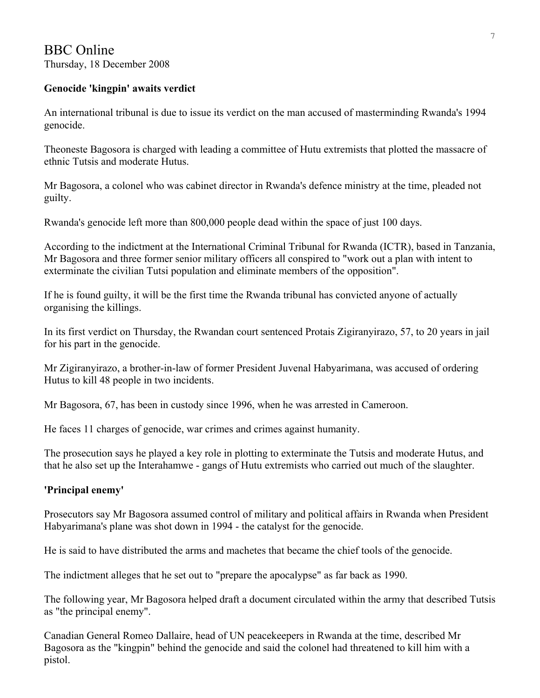# BBC Online Thursday, 18 December 2008

# **Genocide 'kingpin' awaits verdict**

An international tribunal is due to issue its verdict on the man accused of masterminding Rwanda's 1994 genocide.

Theoneste Bagosora is charged with leading a committee of Hutu extremists that plotted the massacre of ethnic Tutsis and moderate Hutus.

Mr Bagosora, a colonel who was cabinet director in Rwanda's defence ministry at the time, pleaded not guilty.

Rwanda's genocide left more than 800,000 people dead within the space of just 100 days.

According to the indictment at the International Criminal Tribunal for Rwanda (ICTR), based in Tanzania, Mr Bagosora and three former senior military officers all conspired to "work out a plan with intent to exterminate the civilian Tutsi population and eliminate members of the opposition".

If he is found guilty, it will be the first time the Rwanda tribunal has convicted anyone of actually organising the killings.

In its first verdict on Thursday, the Rwandan court sentenced Protais Zigiranyirazo, 57, to 20 years in jail for his part in the genocide.

Mr Zigiranyirazo, a brother-in-law of former President Juvenal Habyarimana, was accused of ordering Hutus to kill 48 people in two incidents.

Mr Bagosora, 67, has been in custody since 1996, when he was arrested in Cameroon.

He faces 11 charges of genocide, war crimes and crimes against humanity.

The prosecution says he played a key role in plotting to exterminate the Tutsis and moderate Hutus, and that he also set up the Interahamwe - gangs of Hutu extremists who carried out much of the slaughter.

# **'Principal enemy'**

Prosecutors say Mr Bagosora assumed control of military and political affairs in Rwanda when President Habyarimana's plane was shot down in 1994 - the catalyst for the genocide.

He is said to have distributed the arms and machetes that became the chief tools of the genocide.

The indictment alleges that he set out to "prepare the apocalypse" as far back as 1990.

The following year, Mr Bagosora helped draft a document circulated within the army that described Tutsis as "the principal enemy".

Canadian General Romeo Dallaire, head of UN peacekeepers in Rwanda at the time, described Mr Bagosora as the "kingpin" behind the genocide and said the colonel had threatened to kill him with a pistol.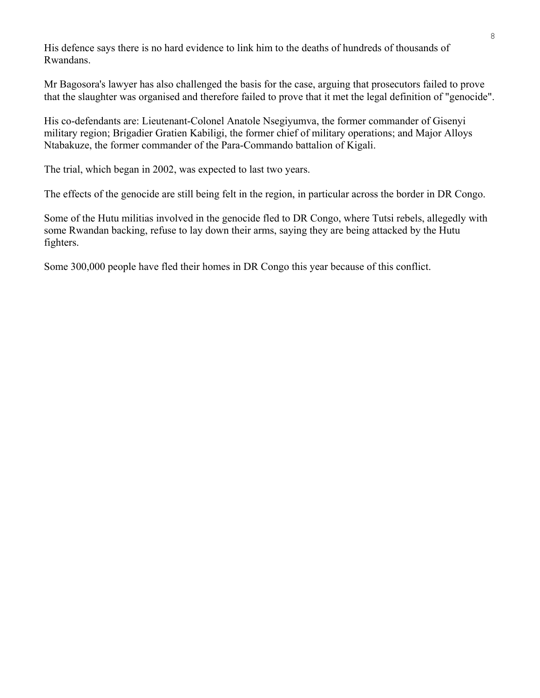His defence says there is no hard evidence to link him to the deaths of hundreds of thousands of Rwandans.

Mr Bagosora's lawyer has also challenged the basis for the case, arguing that prosecutors failed to prove that the slaughter was organised and therefore failed to prove that it met the legal definition of "genocide".

His co-defendants are: Lieutenant-Colonel Anatole Nsegiyumva, the former commander of Gisenyi military region; Brigadier Gratien Kabiligi, the former chief of military operations; and Major Alloys Ntabakuze, the former commander of the Para-Commando battalion of Kigali.

The trial, which began in 2002, was expected to last two years.

The effects of the genocide are still being felt in the region, in particular across the border in DR Congo.

Some of the Hutu militias involved in the genocide fled to DR Congo, where Tutsi rebels, allegedly with some Rwandan backing, refuse to lay down their arms, saying they are being attacked by the Hutu fighters.

Some 300,000 people have fled their homes in DR Congo this year because of this conflict.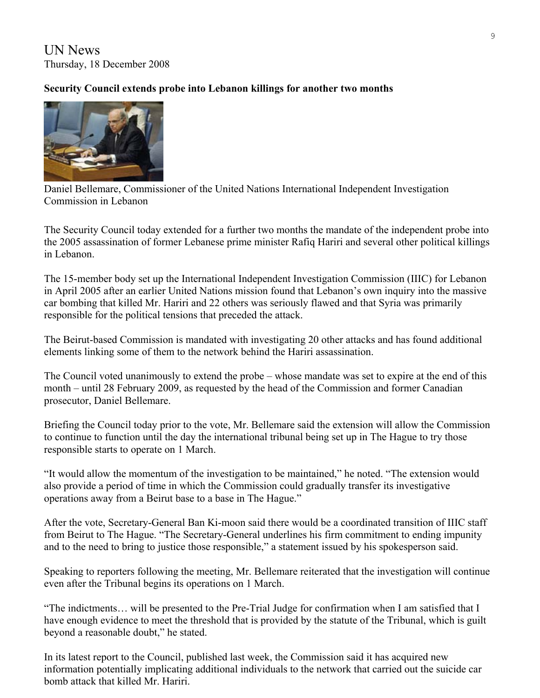UN News Thursday, 18 December 2008

# **Security Council extends probe into Lebanon killings for another two months**



Daniel Bellemare, Commissioner of the United Nations International Independent Investigation Commission in Lebanon

The Security Council today extended for a further two months the mandate of the independent probe into the 2005 assassination of former Lebanese prime minister Rafiq Hariri and several other political killings in Lebanon.

The 15-member body set up the International Independent Investigation Commission (IIIC) for Lebanon in April 2005 after an earlier United Nations mission found that Lebanon's own inquiry into the massive car bombing that killed Mr. Hariri and 22 others was seriously flawed and that Syria was primarily responsible for the political tensions that preceded the attack.

The Beirut-based Commission is mandated with investigating 20 other attacks and has found additional elements linking some of them to the network behind the Hariri assassination.

The Council voted unanimously to extend the probe – whose mandate was set to expire at the end of this month – until 28 February 2009, as requested by the head of the Commission and former Canadian prosecutor, Daniel Bellemare.

Briefing the Council today prior to the vote, Mr. Bellemare said the extension will allow the Commission to continue to function until the day the international tribunal being set up in The Hague to try those responsible starts to operate on 1 March.

"It would allow the momentum of the investigation to be maintained," he noted. "The extension would also provide a period of time in which the Commission could gradually transfer its investigative operations away from a Beirut base to a base in The Hague."

After the vote, Secretary-General Ban Ki-moon said there would be a coordinated transition of IIIC staff from Beirut to The Hague. "The Secretary-General underlines his firm commitment to ending impunity and to the need to bring to justice those responsible," a [statement](http://www.un.org/apps/sg/sgstats.asp?nid=3623) issued by his spokesperson said.

Speaking to reporters following the meeting, Mr. Bellemare reiterated that the investigation will continue even after the Tribunal begins its operations on 1 March.

"The indictments… will be presented to the Pre-Trial Judge for confirmation when I am satisfied that I have enough evidence to meet the threshold that is provided by the statute of the Tribunal, which is guilt beyond a reasonable doubt," he stated.

In its latest report to the Council, published last week, the Commission said it has acquired new information potentially implicating additional individuals to the network that carried out the suicide car bomb attack that killed Mr. Hariri.